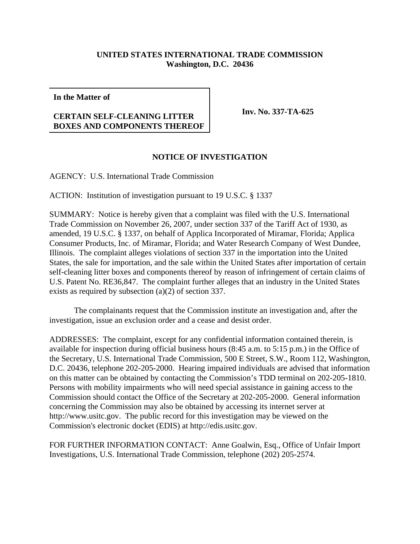## **UNITED STATES INTERNATIONAL TRADE COMMISSION Washington, D.C. 20436**

**In the Matter of**

## **CERTAIN SELF-CLEANING LITTER BOXES AND COMPONENTS THEREOF**

**Inv. No. 337-TA-625**

## **NOTICE OF INVESTIGATION**

AGENCY: U.S. International Trade Commission

ACTION: Institution of investigation pursuant to 19 U.S.C. § 1337

SUMMARY: Notice is hereby given that a complaint was filed with the U.S. International Trade Commission on November 26, 2007, under section 337 of the Tariff Act of 1930, as amended, 19 U.S.C. § 1337, on behalf of Applica Incorporated of Miramar, Florida; Applica Consumer Products, Inc. of Miramar, Florida; and Water Research Company of West Dundee, Illinois. The complaint alleges violations of section 337 in the importation into the United States, the sale for importation, and the sale within the United States after importation of certain self-cleaning litter boxes and components thereof by reason of infringement of certain claims of U.S. Patent No. RE36,847. The complaint further alleges that an industry in the United States exists as required by subsection (a)(2) of section 337.

The complainants request that the Commission institute an investigation and, after the investigation, issue an exclusion order and a cease and desist order.

ADDRESSES: The complaint, except for any confidential information contained therein, is available for inspection during official business hours (8:45 a.m. to 5:15 p.m.) in the Office of the Secretary, U.S. International Trade Commission, 500 E Street, S.W., Room 112, Washington, D.C. 20436, telephone 202-205-2000. Hearing impaired individuals are advised that information on this matter can be obtained by contacting the Commission's TDD terminal on 202-205-1810. Persons with mobility impairments who will need special assistance in gaining access to the Commission should contact the Office of the Secretary at 202-205-2000. General information concerning the Commission may also be obtained by accessing its internet server at http://www.usitc.gov. The public record for this investigation may be viewed on the Commission's electronic docket (EDIS) at http://edis.usitc.gov.

FOR FURTHER INFORMATION CONTACT: Anne Goalwin, Esq., Office of Unfair Import Investigations, U.S. International Trade Commission, telephone (202) 205-2574.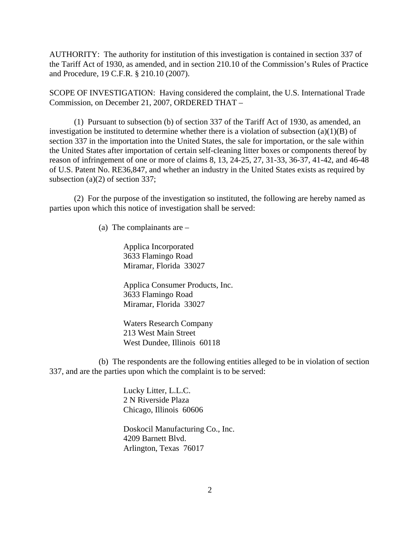AUTHORITY: The authority for institution of this investigation is contained in section 337 of the Tariff Act of 1930, as amended, and in section 210.10 of the Commission's Rules of Practice and Procedure, 19 C.F.R. § 210.10 (2007).

SCOPE OF INVESTIGATION: Having considered the complaint, the U.S. International Trade Commission, on December 21, 2007, ORDERED THAT –

(1) Pursuant to subsection (b) of section 337 of the Tariff Act of 1930, as amended, an investigation be instituted to determine whether there is a violation of subsection  $(a)(1)(B)$  of section 337 in the importation into the United States, the sale for importation, or the sale within the United States after importation of certain self-cleaning litter boxes or components thereof by reason of infringement of one or more of claims 8, 13, 24-25, 27, 31-33, 36-37, 41-42, and 46-48 of U.S. Patent No. RE36,847, and whether an industry in the United States exists as required by subsection (a)(2) of section 337;

(2) For the purpose of the investigation so instituted, the following are hereby named as parties upon which this notice of investigation shall be served:

(a) The complainants are –

Applica Incorporated 3633 Flamingo Road Miramar, Florida 33027

Applica Consumer Products, Inc. 3633 Flamingo Road Miramar, Florida 33027

Waters Research Company 213 West Main Street West Dundee, Illinois 60118

(b) The respondents are the following entities alleged to be in violation of section 337, and are the parties upon which the complaint is to be served:

> Lucky Litter, L.L.C. 2 N Riverside Plaza Chicago, Illinois 60606

Doskocil Manufacturing Co., Inc. 4209 Barnett Blvd. Arlington, Texas 76017